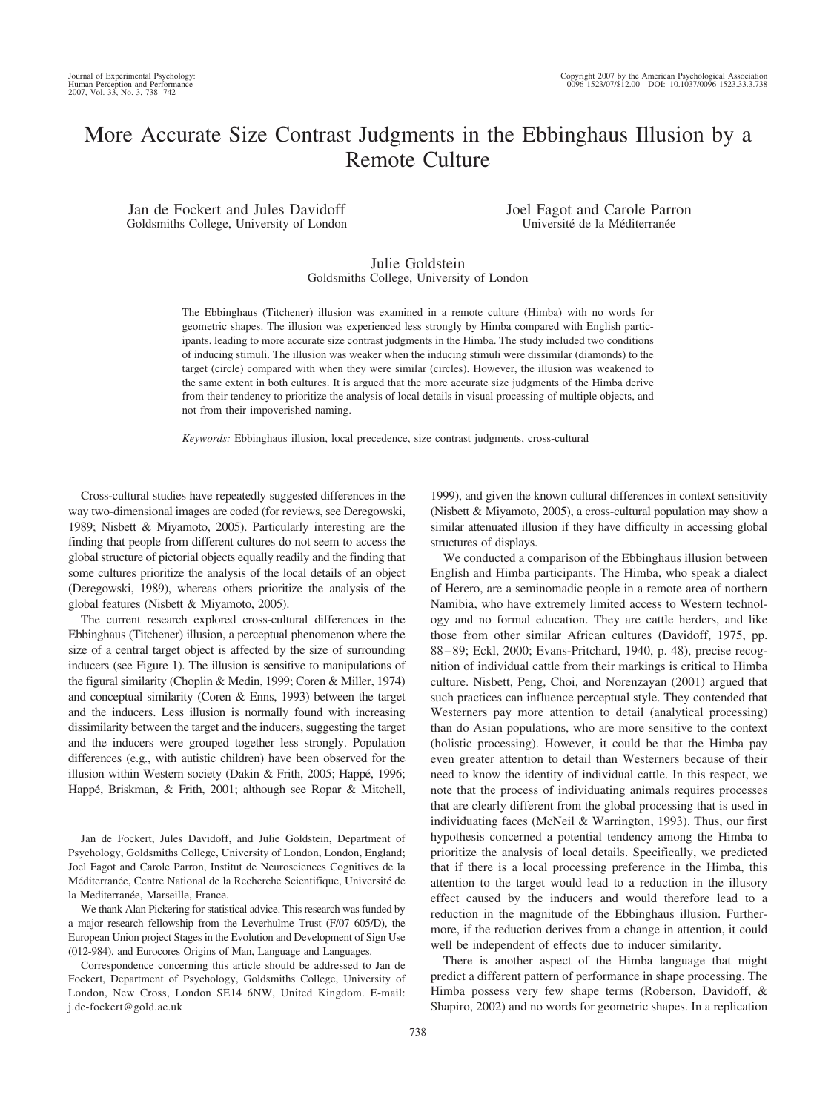# More Accurate Size Contrast Judgments in the Ebbinghaus Illusion by a Remote Culture

Jan de Fockert and Jules Davidoff Goldsmiths College, University of London Joel Fagot and Carole Parron Université de la Méditerranée

# Julie Goldstein Goldsmiths College, University of London

The Ebbinghaus (Titchener) illusion was examined in a remote culture (Himba) with no words for geometric shapes. The illusion was experienced less strongly by Himba compared with English participants, leading to more accurate size contrast judgments in the Himba. The study included two conditions of inducing stimuli. The illusion was weaker when the inducing stimuli were dissimilar (diamonds) to the target (circle) compared with when they were similar (circles). However, the illusion was weakened to the same extent in both cultures. It is argued that the more accurate size judgments of the Himba derive from their tendency to prioritize the analysis of local details in visual processing of multiple objects, and not from their impoverished naming.

*Keywords:* Ebbinghaus illusion, local precedence, size contrast judgments, cross-cultural

Cross-cultural studies have repeatedly suggested differences in the way two-dimensional images are coded (for reviews, see Deregowski, 1989; Nisbett & Miyamoto, 2005). Particularly interesting are the finding that people from different cultures do not seem to access the global structure of pictorial objects equally readily and the finding that some cultures prioritize the analysis of the local details of an object (Deregowski, 1989), whereas others prioritize the analysis of the global features (Nisbett & Miyamoto, 2005).

The current research explored cross-cultural differences in the Ebbinghaus (Titchener) illusion, a perceptual phenomenon where the size of a central target object is affected by the size of surrounding inducers (see Figure 1). The illusion is sensitive to manipulations of the figural similarity (Choplin & Medin, 1999; Coren & Miller, 1974) and conceptual similarity (Coren & Enns, 1993) between the target and the inducers. Less illusion is normally found with increasing dissimilarity between the target and the inducers, suggesting the target and the inducers were grouped together less strongly. Population differences (e.g., with autistic children) have been observed for the illusion within Western society (Dakin & Frith, 2005; Happé, 1996; Happé, Briskman, & Frith, 2001; although see Ropar & Mitchell,

Correspondence concerning this article should be addressed to Jan de Fockert, Department of Psychology, Goldsmiths College, University of London, New Cross, London SE14 6NW, United Kingdom. E-mail: j.de-fockert@gold.ac.uk

1999), and given the known cultural differences in context sensitivity (Nisbett & Miyamoto, 2005), a cross-cultural population may show a similar attenuated illusion if they have difficulty in accessing global structures of displays.

We conducted a comparison of the Ebbinghaus illusion between English and Himba participants. The Himba, who speak a dialect of Herero, are a seminomadic people in a remote area of northern Namibia, who have extremely limited access to Western technology and no formal education. They are cattle herders, and like those from other similar African cultures (Davidoff, 1975, pp. 88 – 89; Eckl, 2000; Evans-Pritchard, 1940, p. 48), precise recognition of individual cattle from their markings is critical to Himba culture. Nisbett, Peng, Choi, and Norenzayan (2001) argued that such practices can influence perceptual style. They contended that Westerners pay more attention to detail (analytical processing) than do Asian populations, who are more sensitive to the context (holistic processing). However, it could be that the Himba pay even greater attention to detail than Westerners because of their need to know the identity of individual cattle. In this respect, we note that the process of individuating animals requires processes that are clearly different from the global processing that is used in individuating faces (McNeil & Warrington, 1993). Thus, our first hypothesis concerned a potential tendency among the Himba to prioritize the analysis of local details. Specifically, we predicted that if there is a local processing preference in the Himba, this attention to the target would lead to a reduction in the illusory effect caused by the inducers and would therefore lead to a reduction in the magnitude of the Ebbinghaus illusion. Furthermore, if the reduction derives from a change in attention, it could well be independent of effects due to inducer similarity.

There is another aspect of the Himba language that might predict a different pattern of performance in shape processing. The Himba possess very few shape terms (Roberson, Davidoff, & Shapiro, 2002) and no words for geometric shapes. In a replication

Jan de Fockert, Jules Davidoff, and Julie Goldstein, Department of Psychology, Goldsmiths College, University of London, London, England; Joel Fagot and Carole Parron, Institut de Neurosciences Cognitives de la Méditerranée, Centre National de la Recherche Scientifique, Université de la Mediterranée, Marseille, France.

We thank Alan Pickering for statistical advice. This research was funded by a major research fellowship from the Leverhulme Trust (F/07 605/D), the European Union project Stages in the Evolution and Development of Sign Use (012-984), and Eurocores Origins of Man, Language and Languages.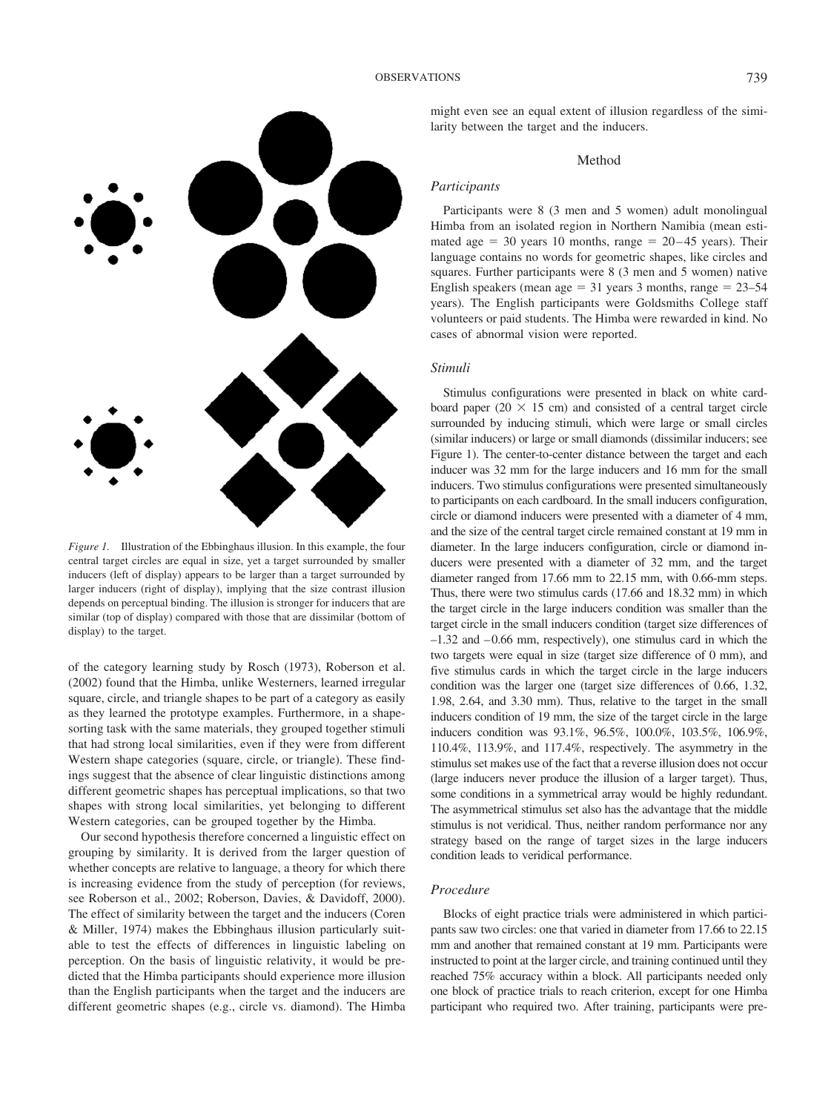

*Figure 1.* Illustration of the Ebbinghaus illusion. In this example, the four central target circles are equal in size, yet a target surrounded by smaller inducers (left of display) appears to be larger than a target surrounded by larger inducers (right of display), implying that the size contrast illusion depends on perceptual binding. The illusion is stronger for inducers that are similar (top of display) compared with those that are dissimilar (bottom of display) to the target.

of the category learning study by Rosch (1973), Roberson et al. (2002) found that the Himba, unlike Westerners, learned irregular square, circle, and triangle shapes to be part of a category as easily as they learned the prototype examples. Furthermore, in a shapesorting task with the same materials, they grouped together stimuli that had strong local similarities, even if they were from different Western shape categories (square, circle, or triangle). These findings suggest that the absence of clear linguistic distinctions among different geometric shapes has perceptual implications, so that two shapes with strong local similarities, yet belonging to different Western categories, can be grouped together by the Himba.

Our second hypothesis therefore concerned a linguistic effect on grouping by similarity. It is derived from the larger question of whether concepts are relative to language, a theory for which there is increasing evidence from the study of perception (for reviews, see Roberson et al., 2002; Roberson, Davies, & Davidoff, 2000). The effect of similarity between the target and the inducers (Coren & Miller, 1974) makes the Ebbinghaus illusion particularly suitable to test the effects of differences in linguistic labeling on perception. On the basis of linguistic relativity, it would be predicted that the Himba participants should experience more illusion than the English participants when the target and the inducers are different geometric shapes (e.g., circle vs. diamond). The Himba

might even see an equal extent of illusion regardless of the similarity between the target and the inducers.

## Method

## *Participants*

Participants were 8 (3 men and 5 women) adult monolingual Himba from an isolated region in Northern Namibia (mean estimated age  $= 30$  years 10 months, range  $= 20 - 45$  years). Their language contains no words for geometric shapes, like circles and squares. Further participants were 8 (3 men and 5 women) native English speakers (mean age  $= 31$  years 3 months, range  $= 23 - 54$ years). The English participants were Goldsmiths College staff volunteers or paid students. The Himba were rewarded in kind. No cases of abnormal vision were reported.

## *Stimuli*

Stimulus configurations were presented in black on white cardboard paper (20  $\times$  15 cm) and consisted of a central target circle surrounded by inducing stimuli, which were large or small circles (similar inducers) or large or small diamonds (dissimilar inducers; see Figure 1). The center-to-center distance between the target and each inducer was 32 mm for the large inducers and 16 mm for the small inducers. Two stimulus configurations were presented simultaneously to participants on each cardboard. In the small inducers configuration, circle or diamond inducers were presented with a diameter of 4 mm, and the size of the central target circle remained constant at 19 mm in diameter. In the large inducers configuration, circle or diamond inducers were presented with a diameter of 32 mm, and the target diameter ranged from 17.66 mm to 22.15 mm, with 0.66-mm steps. Thus, there were two stimulus cards (17.66 and 18.32 mm) in which the target circle in the large inducers condition was smaller than the target circle in the small inducers condition (target size differences of  $-1.32$  and  $-0.66$  mm, respectively), one stimulus card in which the two targets were equal in size (target size difference of 0 mm), and five stimulus cards in which the target circle in the large inducers condition was the larger one (target size differences of 0.66, 1.32, 1.98, 2.64, and 3.30 mm). Thus, relative to the target in the small inducers condition of 19 mm, the size of the target circle in the large inducers condition was 93.1%, 96.5%, 100.0%, 103.5%, 106.9%, 110.4%, 113.9%, and 117.4%, respectively. The asymmetry in the stimulus set makes use of the fact that a reverse illusion does not occur (large inducers never produce the illusion of a larger target). Thus, some conditions in a symmetrical array would be highly redundant. The asymmetrical stimulus set also has the advantage that the middle stimulus is not veridical. Thus, neither random performance nor any strategy based on the range of target sizes in the large inducers condition leads to veridical performance.

## *Procedure*

Blocks of eight practice trials were administered in which participants saw two circles: one that varied in diameter from 17.66 to 22.15 mm and another that remained constant at 19 mm. Participants were instructed to point at the larger circle, and training continued until they reached 75% accuracy within a block. All participants needed only one block of practice trials to reach criterion, except for one Himba participant who required two. After training, participants were pre-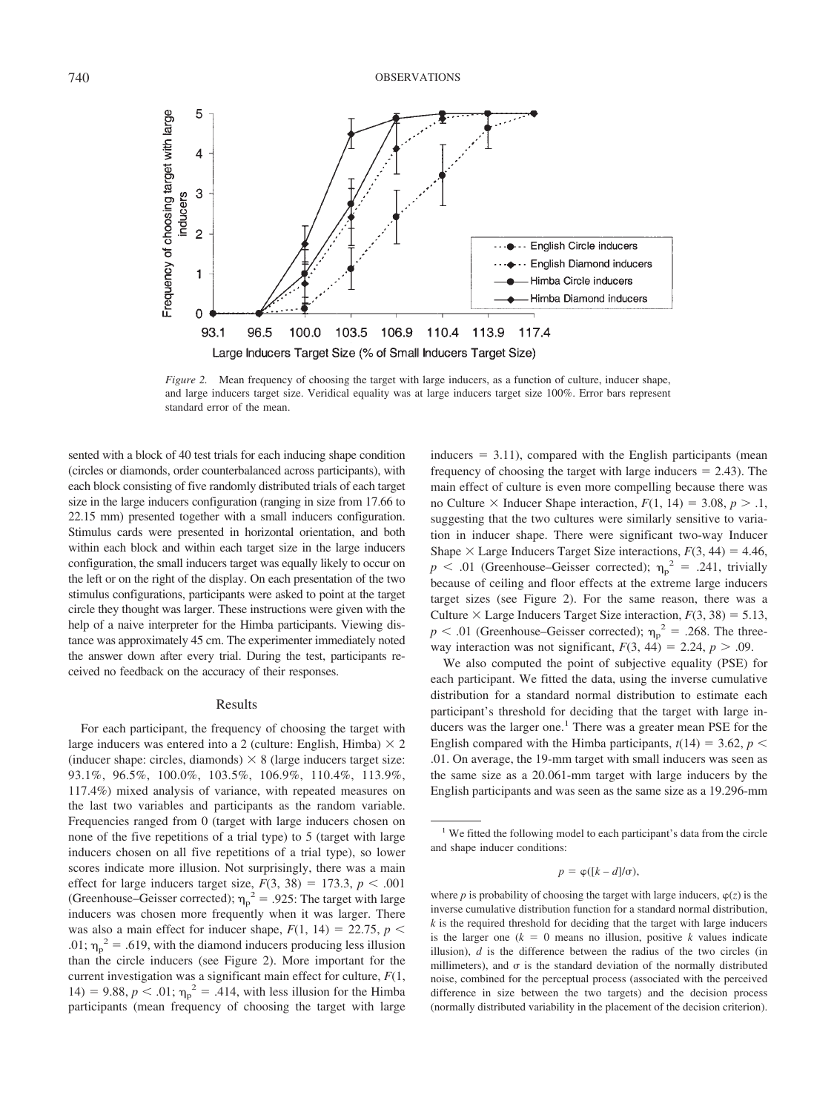

*Figure 2.* Mean frequency of choosing the target with large inducers, as a function of culture, inducer shape, and large inducers target size. Veridical equality was at large inducers target size 100%. Error bars represent standard error of the mean.

sented with a block of 40 test trials for each inducing shape condition (circles or diamonds, order counterbalanced across participants), with each block consisting of five randomly distributed trials of each target size in the large inducers configuration (ranging in size from 17.66 to 22.15 mm) presented together with a small inducers configuration. Stimulus cards were presented in horizontal orientation, and both within each block and within each target size in the large inducers configuration, the small inducers target was equally likely to occur on the left or on the right of the display. On each presentation of the two stimulus configurations, participants were asked to point at the target circle they thought was larger. These instructions were given with the help of a naive interpreter for the Himba participants. Viewing distance was approximately 45 cm. The experimenter immediately noted the answer down after every trial. During the test, participants received no feedback on the accuracy of their responses.

#### Results

For each participant, the frequency of choosing the target with large inducers was entered into a 2 (culture: English, Himba)  $\times$  2 (inducer shape: circles, diamonds)  $\times$  8 (large inducers target size: 93.1%, 96.5%, 100.0%, 103.5%, 106.9%, 110.4%, 113.9%, 117.4%) mixed analysis of variance, with repeated measures on the last two variables and participants as the random variable. Frequencies ranged from 0 (target with large inducers chosen on none of the five repetitions of a trial type) to 5 (target with large inducers chosen on all five repetitions of a trial type), so lower scores indicate more illusion. Not surprisingly, there was a main effect for large inducers target size,  $F(3, 38) = 173.3$ ,  $p < .001$ (Greenhouse–Geisser corrected);  $\eta_p^2 = .925$ : The target with large inducers was chosen more frequently when it was larger. There was also a main effect for inducer shape,  $F(1, 14) = 22.75$ ,  $p <$ .01;  $\eta_p^2$  = .619, with the diamond inducers producing less illusion than the circle inducers (see Figure 2). More important for the current investigation was a significant main effect for culture, *F*(1, 14) = 9.88,  $p < .01$ ;  $\eta_p^2 = .414$ , with less illusion for the Himba participants (mean frequency of choosing the target with large

 $inducers = 3.11$ , compared with the English participants (mean frequency of choosing the target with large inducers  $= 2.43$ ). The main effect of culture is even more compelling because there was no Culture  $\times$  Inducer Shape interaction,  $F(1, 14) = 3.08$ ,  $p > 1$ , suggesting that the two cultures were similarly sensitive to variation in inducer shape. There were significant two-way Inducer Shape  $\times$  Large Inducers Target Size interactions,  $F(3, 44) = 4.46$ ,  $p$  < .01 (Greenhouse–Geisser corrected);  $\eta_p^2$  = .241, trivially because of ceiling and floor effects at the extreme large inducers target sizes (see Figure 2). For the same reason, there was a Culture  $\times$  Large Inducers Target Size interaction,  $F(3, 38) = 5.13$ ,  $p < .01$  (Greenhouse–Geisser corrected);  $\eta_p^2 = .268$ . The threeway interaction was not significant,  $F(3, 44) = 2.24$ ,  $p > .09$ .

We also computed the point of subjective equality (PSE) for each participant. We fitted the data, using the inverse cumulative distribution for a standard normal distribution to estimate each participant's threshold for deciding that the target with large inducers was the larger one.<sup>1</sup> There was a greater mean PSE for the English compared with the Himba participants,  $t(14) = 3.62$ ,  $p <$ .01. On average, the 19-mm target with small inducers was seen as the same size as a 20.061-mm target with large inducers by the English participants and was seen as the same size as a 19.296-mm

<sup>&</sup>lt;sup>1</sup> We fitted the following model to each participant's data from the circle and shape inducer conditions:

 $p = \varphi([k-d]/\sigma),$ 

where *p* is probability of choosing the target with large inducers,  $\varphi(z)$  is the inverse cumulative distribution function for a standard normal distribution, *k* is the required threshold for deciding that the target with large inducers is the larger one  $(k = 0$  means no illusion, positive *k* values indicate illusion), *d* is the difference between the radius of the two circles (in millimeters), and  $\sigma$  is the standard deviation of the normally distributed noise, combined for the perceptual process (associated with the perceived difference in size between the two targets) and the decision process (normally distributed variability in the placement of the decision criterion).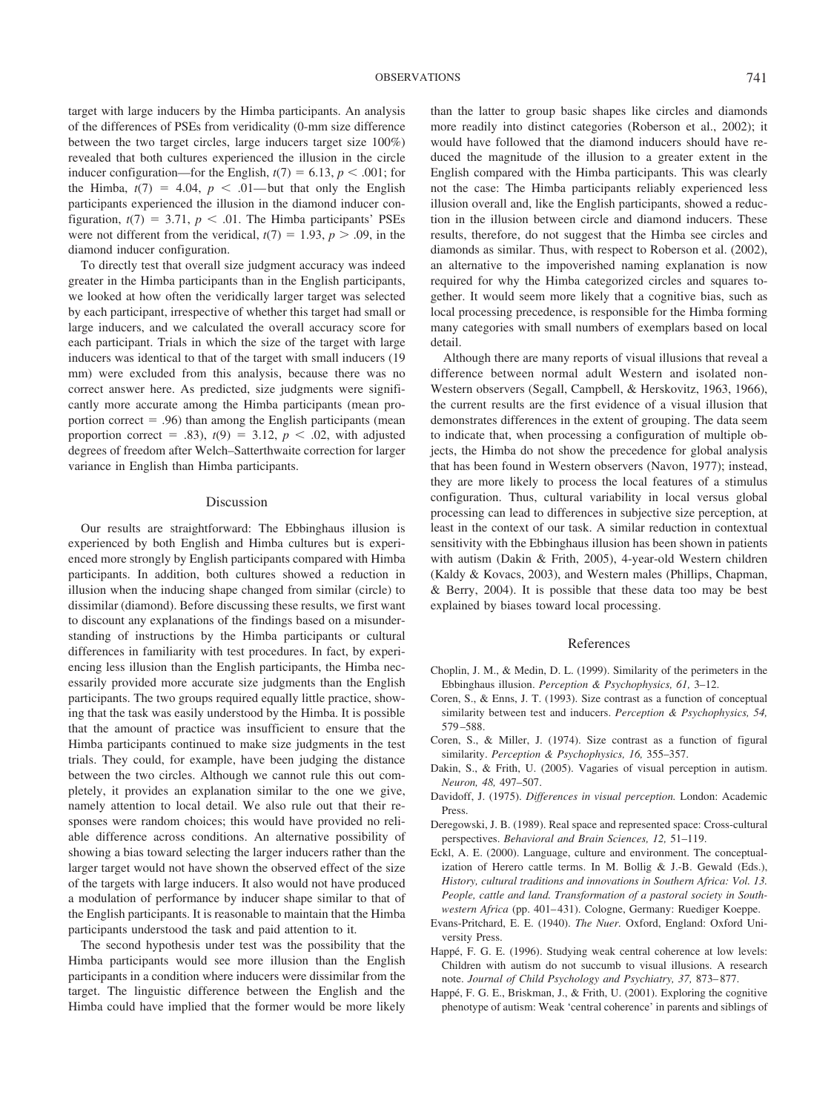target with large inducers by the Himba participants. An analysis of the differences of PSEs from veridicality (0-mm size difference between the two target circles, large inducers target size 100%) revealed that both cultures experienced the illusion in the circle inducer configuration—for the English,  $t(7) = 6.13$ ,  $p < .001$ ; for the Himba,  $t(7) = 4.04$ ,  $p < .01$ — but that only the English participants experienced the illusion in the diamond inducer configuration,  $t(7) = 3.71$ ,  $p < .01$ . The Himba participants' PSEs were not different from the veridical,  $t(7) = 1.93$ ,  $p > .09$ , in the diamond inducer configuration.

To directly test that overall size judgment accuracy was indeed greater in the Himba participants than in the English participants, we looked at how often the veridically larger target was selected by each participant, irrespective of whether this target had small or large inducers, and we calculated the overall accuracy score for each participant. Trials in which the size of the target with large inducers was identical to that of the target with small inducers (19 mm) were excluded from this analysis, because there was no correct answer here. As predicted, size judgments were significantly more accurate among the Himba participants (mean proportion correct  $= .96$ ) than among the English participants (mean proportion correct = .83),  $t(9) = 3.12$ ,  $p < .02$ , with adjusted degrees of freedom after Welch–Satterthwaite correction for larger variance in English than Himba participants.

## Discussion

Our results are straightforward: The Ebbinghaus illusion is experienced by both English and Himba cultures but is experienced more strongly by English participants compared with Himba participants. In addition, both cultures showed a reduction in illusion when the inducing shape changed from similar (circle) to dissimilar (diamond). Before discussing these results, we first want to discount any explanations of the findings based on a misunderstanding of instructions by the Himba participants or cultural differences in familiarity with test procedures. In fact, by experiencing less illusion than the English participants, the Himba necessarily provided more accurate size judgments than the English participants. The two groups required equally little practice, showing that the task was easily understood by the Himba. It is possible that the amount of practice was insufficient to ensure that the Himba participants continued to make size judgments in the test trials. They could, for example, have been judging the distance between the two circles. Although we cannot rule this out completely, it provides an explanation similar to the one we give, namely attention to local detail. We also rule out that their responses were random choices; this would have provided no reliable difference across conditions. An alternative possibility of showing a bias toward selecting the larger inducers rather than the larger target would not have shown the observed effect of the size of the targets with large inducers. It also would not have produced a modulation of performance by inducer shape similar to that of the English participants. It is reasonable to maintain that the Himba participants understood the task and paid attention to it.

The second hypothesis under test was the possibility that the Himba participants would see more illusion than the English participants in a condition where inducers were dissimilar from the target. The linguistic difference between the English and the Himba could have implied that the former would be more likely than the latter to group basic shapes like circles and diamonds more readily into distinct categories (Roberson et al., 2002); it would have followed that the diamond inducers should have reduced the magnitude of the illusion to a greater extent in the English compared with the Himba participants. This was clearly not the case: The Himba participants reliably experienced less illusion overall and, like the English participants, showed a reduction in the illusion between circle and diamond inducers. These results, therefore, do not suggest that the Himba see circles and diamonds as similar. Thus, with respect to Roberson et al. (2002), an alternative to the impoverished naming explanation is now required for why the Himba categorized circles and squares together. It would seem more likely that a cognitive bias, such as local processing precedence, is responsible for the Himba forming many categories with small numbers of exemplars based on local detail.

Although there are many reports of visual illusions that reveal a difference between normal adult Western and isolated non-Western observers (Segall, Campbell, & Herskovitz, 1963, 1966), the current results are the first evidence of a visual illusion that demonstrates differences in the extent of grouping. The data seem to indicate that, when processing a configuration of multiple objects, the Himba do not show the precedence for global analysis that has been found in Western observers (Navon, 1977); instead, they are more likely to process the local features of a stimulus configuration. Thus, cultural variability in local versus global processing can lead to differences in subjective size perception, at least in the context of our task. A similar reduction in contextual sensitivity with the Ebbinghaus illusion has been shown in patients with autism (Dakin & Frith, 2005), 4-year-old Western children (Kaldy & Kovacs, 2003), and Western males (Phillips, Chapman, & Berry, 2004). It is possible that these data too may be best explained by biases toward local processing.

#### References

- Choplin, J. M., & Medin, D. L. (1999). Similarity of the perimeters in the Ebbinghaus illusion. *Perception & Psychophysics, 61,* 3–12.
- Coren, S., & Enns, J. T. (1993). Size contrast as a function of conceptual similarity between test and inducers. *Perception & Psychophysics, 54,* 579 –588.
- Coren, S., & Miller, J. (1974). Size contrast as a function of figural similarity. *Perception & Psychophysics, 16,* 355–357.
- Dakin, S., & Frith, U. (2005). Vagaries of visual perception in autism. *Neuron, 48,* 497–507.
- Davidoff, J. (1975). *Differences in visual perception.* London: Academic Press.
- Deregowski, J. B. (1989). Real space and represented space: Cross-cultural perspectives. *Behavioral and Brain Sciences, 12,* 51–119.
- Eckl, A. E. (2000). Language, culture and environment. The conceptualization of Herero cattle terms. In M. Bollig & J.-B. Gewald (Eds.), *History, cultural traditions and innovations in Southern Africa: Vol. 13. People, cattle and land. Transformation of a pastoral society in Southwestern Africa* (pp. 401–431). Cologne, Germany: Ruediger Koeppe.
- Evans-Pritchard, E. E. (1940). *The Nuer.* Oxford, England: Oxford University Press.
- Happé, F. G. E. (1996). Studying weak central coherence at low levels: Children with autism do not succumb to visual illusions. A research note. *Journal of Child Psychology and Psychiatry, 37,* 873– 877.
- Happé, F. G. E., Briskman, J., & Frith, U. (2001). Exploring the cognitive phenotype of autism: Weak 'central coherence' in parents and siblings of